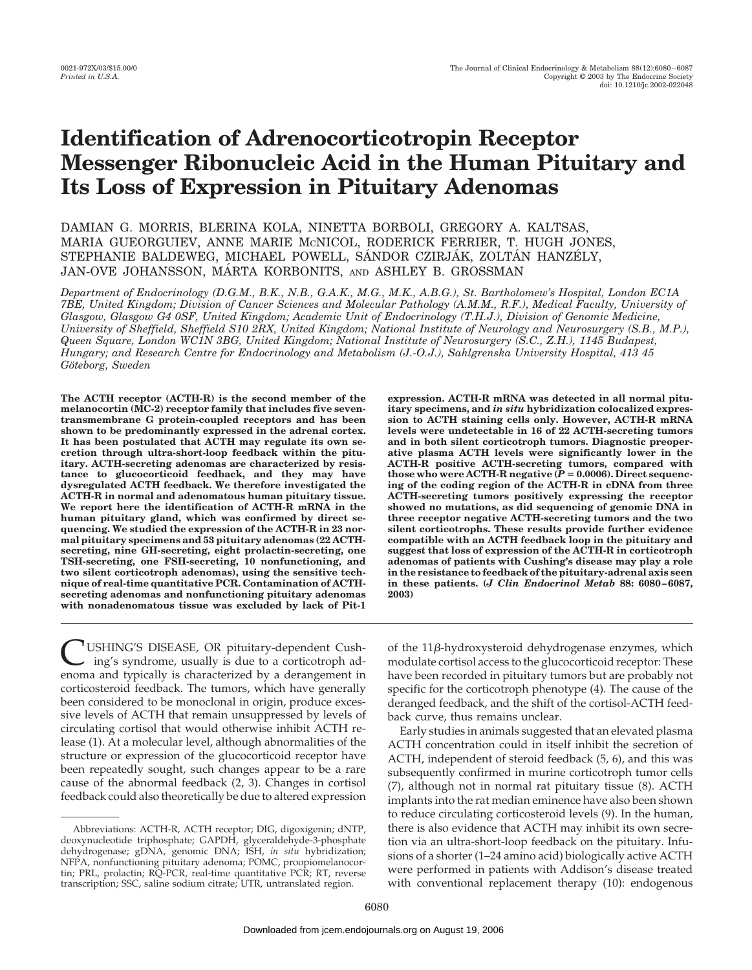# **Identification of Adrenocorticotropin Receptor Messenger Ribonucleic Acid in the Human Pituitary and Its Loss of Expression in Pituitary Adenomas**

DAMIAN G. MORRIS, BLERINA KOLA, NINETTA BORBOLI, GREGORY A. KALTSAS, MARIA GUEORGUIEV, ANNE MARIE MCNICOL, RODERICK FERRIER, T. HUGH JONES, STEPHANIE BALDEWEG, MICHAEL POWELL, SÁNDOR CZIRJÁK, ZOLTÁN HANZELY, JAN-OVE JOHANSSON, MARTA KORBONITS, AND ASHLEY B. GROSSMAN

*Department of Endocrinology (D.G.M., B.K., N.B., G.A.K., M.G., M.K., A.B.G.), St. Bartholomew's Hospital, London EC1A 7BE, United Kingdom; Division of Cancer Sciences and Molecular Pathology (A.M.M., R.F.), Medical Faculty, University of Glasgow, Glasgow G4 0SF, United Kingdom; Academic Unit of Endocrinology (T.H.J.), Division of Genomic Medicine, University of Sheffield, Sheffield S10 2RX, United Kingdom; National Institute of Neurology and Neurosurgery (S.B., M.P.), Queen Square, London WC1N 3BG, United Kingdom; National Institute of Neurosurgery (S.C., Z.H.), 1145 Budapest, Hungary; and Research Centre for Endocrinology and Metabolism (J.-O.J.), Sahlgrenska University Hospital, 413 45 Go¨teborg, Sweden*

**The ACTH receptor (ACTH-R) is the second member of the melanocortin (MC-2) receptor family that includes five seventransmembrane G protein-coupled receptors and has been shown to be predominantly expressed in the adrenal cortex. It has been postulated that ACTH may regulate its own secretion through ultra-short-loop feedback within the pituitary. ACTH-secreting adenomas are characterized by resistance to glucocorticoid feedback, and they may have dysregulated ACTH feedback. We therefore investigated the ACTH-R in normal and adenomatous human pituitary tissue. We report here the identification of ACTH-R mRNA in the human pituitary gland, which was confirmed by direct sequencing. We studied the expression of the ACTH-R in 23 normal pituitary specimens and 53 pituitary adenomas (22 ACTHsecreting, nine GH-secreting, eight prolactin-secreting, one TSH-secreting, one FSH-secreting, 10 nonfunctioning, and two silent corticotroph adenomas), using the sensitive technique of real-time quantitative PCR. Contamination of ACTHsecreting adenomas and nonfunctioning pituitary adenomas with nonadenomatous tissue was excluded by lack of Pit-1**

**expression. ACTH-R mRNA was detected in all normal pituitary specimens, and** *in situ* **hybridization colocalized expression to ACTH staining cells only. However, ACTH-R mRNA levels were undetectable in 16 of 22 ACTH-secreting tumors and in both silent corticotroph tumors. Diagnostic preoperative plasma ACTH levels were significantly lower in the ACTH-R positive ACTH-secreting tumors, compared with** those who were ACTH-R negative  $(P = 0.0006)$ . Direct sequenc**ing of the coding region of the ACTH-R in cDNA from three ACTH-secreting tumors positively expressing the receptor showed no mutations, as did sequencing of genomic DNA in three receptor negative ACTH-secreting tumors and the two silent corticotrophs. These results provide further evidence compatible with an ACTH feedback loop in the pituitary and suggest that loss of expression of the ACTH-R in corticotroph adenomas of patients with Cushing's disease may play a role in the resistance to feedback of the pituitary-adrenal axis seen in these patients. (***J Clin Endocrinol Metab* **88: 6080–6087, 2003)**

USHING'S DISEASE, OR pituitary-dependent Cushing's syndrome, usually is due to a corticotroph adenoma and typically is characterized by a derangement in corticosteroid feedback. The tumors, which have generally been considered to be monoclonal in origin, produce excessive levels of ACTH that remain unsuppressed by levels of circulating cortisol that would otherwise inhibit ACTH release (1). At a molecular level, although abnormalities of the structure or expression of the glucocorticoid receptor have been repeatedly sought, such changes appear to be a rare cause of the abnormal feedback (2, 3). Changes in cortisol feedback could also theoretically be due to altered expression

of the  $11\beta$ -hydroxysteroid dehydrogenase enzymes, which modulate cortisol access to the glucocorticoid receptor: These have been recorded in pituitary tumors but are probably not specific for the corticotroph phenotype (4). The cause of the deranged feedback, and the shift of the cortisol-ACTH feedback curve, thus remains unclear.

Early studies in animals suggested that an elevated plasma ACTH concentration could in itself inhibit the secretion of ACTH, independent of steroid feedback (5, 6), and this was subsequently confirmed in murine corticotroph tumor cells (7), although not in normal rat pituitary tissue (8). ACTH implants into the rat median eminence have also been shown to reduce circulating corticosteroid levels (9). In the human, there is also evidence that ACTH may inhibit its own secretion via an ultra-short-loop feedback on the pituitary. Infusions of a shorter (1–24 amino acid) biologically active ACTH were performed in patients with Addison's disease treated with conventional replacement therapy (10): endogenous

Abbreviations: ACTH-R, ACTH receptor; DIG, digoxigenin; dNTP, deoxynucleotide triphosphate; GAPDH, glyceraldehyde-3-phosphate dehydrogenase; gDNA, genomic DNA; ISH, *in situ* hybridization; NFPA, nonfunctioning pituitary adenoma; POMC, proopiomelanocortin; PRL, prolactin; RQ-PCR, real-time quantitative PCR; RT, reverse transcription; SSC, saline sodium citrate; UTR, untranslated region.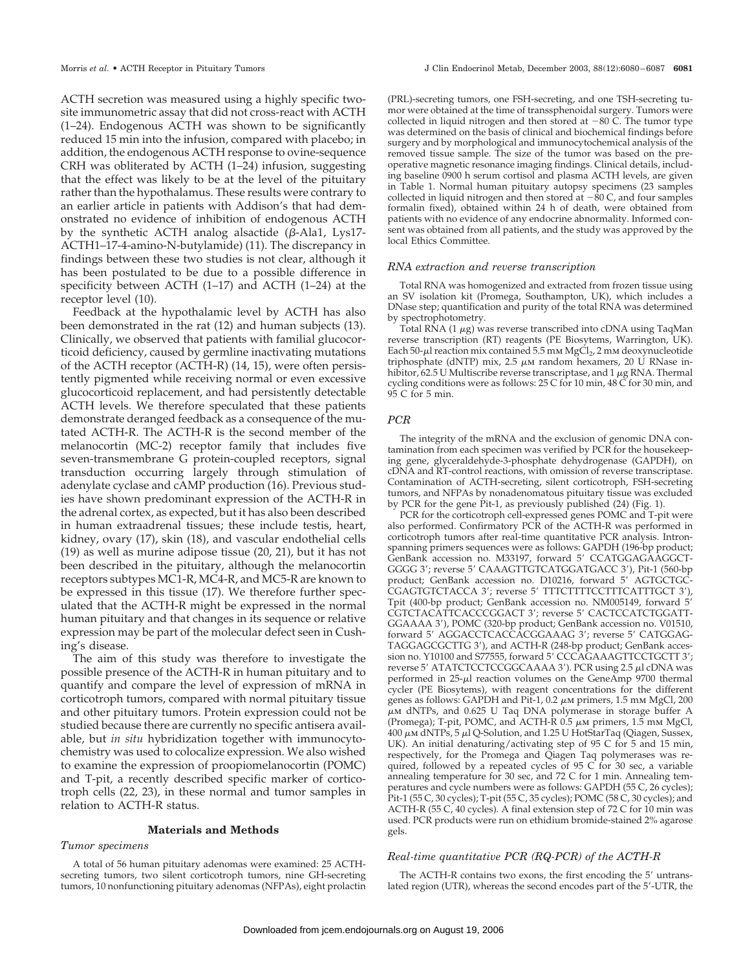ACTH secretion was measured using a highly specific twosite immunometric assay that did not cross-react with ACTH (1–24). Endogenous ACTH was shown to be significantly reduced 15 min into the infusion, compared with placebo; in addition, the endogenous ACTH response to ovine-sequence CRH was obliterated by ACTH (1–24) infusion, suggesting that the effect was likely to be at the level of the pituitary rather than the hypothalamus. These results were contrary to an earlier article in patients with Addison's that had demonstrated no evidence of inhibition of endogenous ACTH by the synthetic ACTH analog alsactide ( $\beta$ -Ala1, Lys17-ACTH1–17-4-amino-N-butylamide) (11). The discrepancy in findings between these two studies is not clear, although it has been postulated to be due to a possible difference in specificity between ACTH (1–17) and ACTH (1–24) at the receptor level (10).

Feedback at the hypothalamic level by ACTH has also been demonstrated in the rat (12) and human subjects (13). Clinically, we observed that patients with familial glucocorticoid deficiency, caused by germline inactivating mutations of the ACTH receptor (ACTH-R) (14, 15), were often persistently pigmented while receiving normal or even excessive glucocorticoid replacement, and had persistently detectable ACTH levels. We therefore speculated that these patients demonstrate deranged feedback as a consequence of the mutated ACTH-R. The ACTH-R is the second member of the melanocortin (MC-2) receptor family that includes five seven-transmembrane G protein-coupled receptors, signal transduction occurring largely through stimulation of adenylate cyclase and cAMP production (16). Previous studies have shown predominant expression of the ACTH-R in the adrenal cortex, as expected, but it has also been described in human extraadrenal tissues; these include testis, heart, kidney, ovary (17), skin (18), and vascular endothelial cells (19) as well as murine adipose tissue (20, 21), but it has not been described in the pituitary, although the melanocortin receptors subtypes MC1-R, MC4-R, and MC5-R are known to be expressed in this tissue (17). We therefore further speculated that the ACTH-R might be expressed in the normal human pituitary and that changes in its sequence or relative expression may be part of the molecular defect seen in Cushing's disease.

The aim of this study was therefore to investigate the possible presence of the ACTH-R in human pituitary and to quantify and compare the level of expression of mRNA in corticotroph tumors, compared with normal pituitary tissue and other pituitary tumors. Protein expression could not be studied because there are currently no specific antisera available, but *in situ* hybridization together with immunocytochemistry was used to colocalize expression. We also wished to examine the expression of proopiomelanocortin (POMC) and T-pit, a recently described specific marker of corticotroph cells (22, 23), in these normal and tumor samples in relation to ACTH-R status.

# **Materials and Methods**

# *Tumor specimens*

A total of 56 human pituitary adenomas were examined: 25 ACTHsecreting tumors, two silent corticotroph tumors, nine GH-secreting tumors, 10 nonfunctioning pituitary adenomas (NFPAs), eight prolactin

(PRL)-secreting tumors, one FSH-secreting, and one TSH-secreting tumor were obtained at the time of transsphenoidal surgery. Tumors were collected in liquid nitrogen and then stored at  $-80$  C. The tumor type was determined on the basis of clinical and biochemical findings before surgery and by morphological and immunocytochemical analysis of the removed tissue sample. The size of the tumor was based on the preoperative magnetic resonance imaging findings. Clinical details, including baseline 0900 h serum cortisol and plasma ACTH levels, are given in Table 1. Normal human pituitary autopsy specimens (23 samples collected in liquid nitrogen and then stored at  $-\dot{80}$  C, and four samples formalin fixed), obtained within 24 h of death, were obtained from patients with no evidence of any endocrine abnormality. Informed consent was obtained from all patients, and the study was approved by the local Ethics Committee.

## *RNA extraction and reverse transcription*

Total RNA was homogenized and extracted from frozen tissue using an SV isolation kit (Promega, Southampton, UK), which includes a DNase step; quantification and purity of the total RNA was determined by spectrophotometry.

Total RNA (1  $\mu$ g) was reverse transcribed into cDNA using TaqMan reverse transcription (RT) reagents (PE Biosytems, Warrington, UK). Each 50- $\mu$ l reaction mix contained 5.5 mm MgCl $_2$ , 2 mm deoxynucleotide triphosphate (dNTP) mix, 2.5  $\mu$ m random hexamers, 20 U RNase inhibitor, 62.5 U Multiscribe reverse transcriptase, and 1  $\mu$ g RNA. Thermal cycling conditions were as follows: 25 C for 10 min, 48 C for 30 min, and 95 C for 5 min.

# *PCR*

The integrity of the mRNA and the exclusion of genomic DNA contamination from each specimen was verified by PCR for the housekeeping gene, glyceraldehyde-3-phosphate dehydrogenase (GAPDH), on cDNA and RT-control reactions, with omission of reverse transcriptase. Contamination of ACTH-secreting, silent corticotroph, FSH-secreting tumors, and NFPAs by nonadenomatous pituitary tissue was excluded by PCR for the gene Pit-1, as previously published (24) (Fig. 1).

PCR for the corticotroph cell-expressed genes POMC and T-pit were also performed. Confirmatory PCR of the ACTH-R was performed in corticotroph tumors after real-time quantitative PCR analysis. Intronspanning primers sequences were as follows: GAPDH (196-bp product; GenBank accession no. M33197, forward 5' CCATGGAGAAGGCT-GGGG 3'; reverse 5' CAAAGTTGTCATGGATGACC 3'), Pit-1 (560-bp product; GenBank accession no. D10216, forward 5' AGTGCTGC-CGAGTGTCTACCA 3'; reverse 5' TTTCTTTTCCTTTCATTTGCT 3'), Tpit (400-bp product; GenBank accession no. NM005149, forward 5- CGTCTACATTCACCCGGACT 3'; reverse 5' CACTCCATCTGGATT-GGAAAA 3'), POMC (320-bp product; GenBank accession no. V01510, forward 5' AGGACCTCACCACGGAAAG 3'; reverse 5' CATGGAG-TAGGAGCGCTTG 3'), and ACTH-R (248-bp product; GenBank accession no. Y10100 and S77555, forward 5' CCCAGAAAGTTCCTGCTT 3'; reverse 5' ATATCTCCTCCGGCAAAA 3'). PCR using 2.5 µl cDNA was performed in 25- $\mu$ l reaction volumes on the GeneAmp 9700 thermal cycler (PE Biosytems), with reagent concentrations for the different genes as follows: GAPDH and Pit-1, 0.2  $\mu$ м primers, 1.5 mm MgCl, 200  $\mu$ м dNTPs, and 0.625 U Taq DNA polymerase in storage buffer A (Promega); T-pit, POMC, and ACTH-R 0.5  $\mu$ m primers, 1.5 mm MgCl, 400  $\mu$ м dNTPs, 5  $\mu$ l Q-Solution, and 1.25 U HotStarTaq (Qiagen, Sussex, UK). An initial denaturing/activating step of 95 C for 5 and 15 min, respectively, for the Promega and Qiagen Taq polymerases was required, followed by a repeated cycles of 95 C for 30 sec, a variable annealing temperature for 30 sec, and 72 C for 1 min. Annealing temperatures and cycle numbers were as follows: GAPDH (55 C, 26 cycles); Pit-1 (55 C, 30 cycles); T-pit (55 C, 35 cycles); POMC (58 C, 30 cycles); and ACTH-R (55 C, 40 cycles). A final extension step of 72 C for 10 min was used. PCR products were run on ethidium bromide-stained 2% agarose gels.

# *Real-time quantitative PCR (RQ-PCR) of the ACTH-R*

The ACTH-R contains two exons, the first encoding the 5' untranslated region (UTR), whereas the second encodes part of the 5'-UTR, the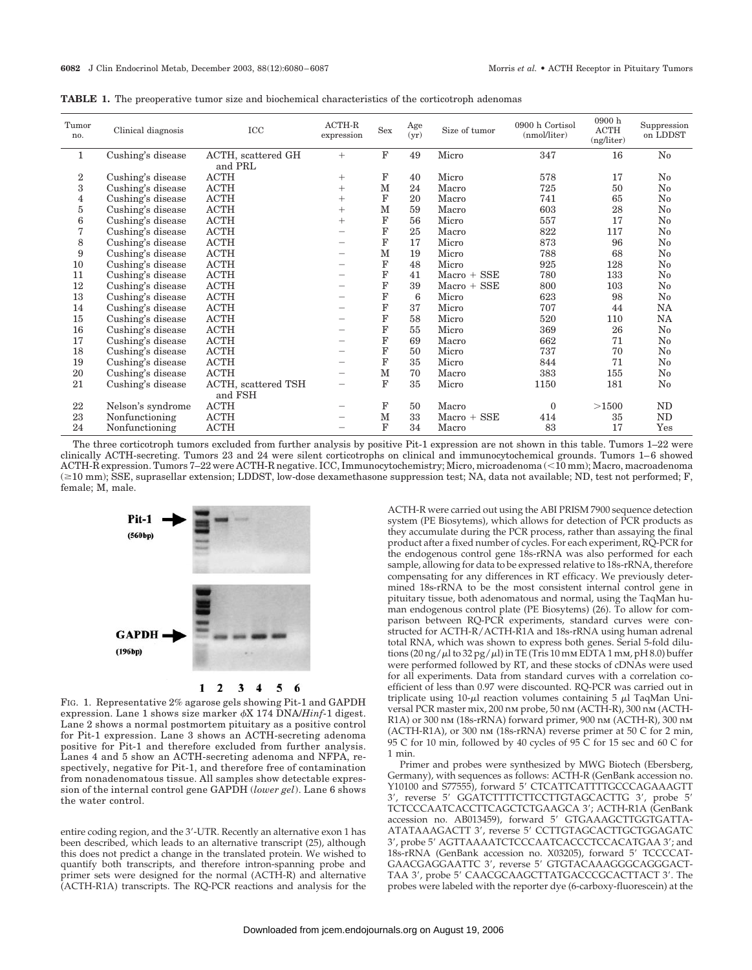|  |  |  |  | <b>TABLE 1.</b> The preoperative tumor size and biochemical characteristics of the corticotroph adenomas |  |  |
|--|--|--|--|----------------------------------------------------------------------------------------------------------|--|--|
|  |  |  |  |                                                                                                          |  |  |

| Tumor<br>no.   | Clinical diagnosis | ICC                           | $ACTH-R$<br>expression   | Sex         | Age<br>(yr) | Size of tumor  | 0900 h Cortisol<br>(nmol/liter) | 0900 <sub>h</sub><br>ACTH<br>(ng/liter) | Suppression<br>on LDDST |
|----------------|--------------------|-------------------------------|--------------------------|-------------|-------------|----------------|---------------------------------|-----------------------------------------|-------------------------|
| $\mathbf{1}$   | Cushing's disease  | ACTH, scattered GH<br>and PRL | $^{+}$                   | $\mathbf F$ | 49          | Micro          | 347                             | 16                                      | $\rm No$                |
| $\,2$          | Cushing's disease  | ACTH                          | $^{+}$                   | F           | 40          | Micro          | 578                             | 17                                      | $\rm No$                |
| $\,3$          | Cushing's disease  | <b>ACTH</b>                   | $^{+}$                   | M           | 24          | Macro          | 725                             | 50                                      | $\rm No$                |
| $\overline{4}$ | Cushing's disease  | ACTH                          | $^{+}$                   | ${\bf F}$   | 20          | Macro          | 741                             | 65                                      | No                      |
| $\bf 5$        | Cushing's disease  | <b>ACTH</b>                   | $+$                      | M           | 59          | Macro          | 603                             | 28                                      | $\rm No$                |
| 6              | Cushing's disease  | <b>ACTH</b>                   | $^{+}$                   | $\mathbf F$ | 56          | Micro          | 557                             | 17                                      | $\rm No$                |
| 7              | Cushing's disease  | ACTH                          | -                        | $\mathbf F$ | 25          | Macro          | 822                             | 117                                     | $\rm No$                |
| 8              | Cushing's disease  | <b>ACTH</b>                   |                          | ${\bf F}$   | 17          | Micro          | 873                             | 96                                      | $\rm No$                |
| 9              | Cushing's disease  | ACTH                          | -                        | M           | 19          | Micro          | 788                             | 68                                      | $\rm No$                |
| 10             | Cushing's disease  | <b>ACTH</b>                   |                          | $\mathbf F$ | 48          | Micro          | 925                             | 128                                     | $\rm No$                |
| 11             | Cushing's disease  | ACTH                          | -                        | $\mathbf F$ | 41          | Macro + SSE    | 780                             | 133                                     | No                      |
| 12             | Cushing's disease  | <b>ACTH</b>                   |                          | $\mathbf F$ | 39          | Macro + SSE    | 800                             | 103                                     | No                      |
| 13             | Cushing's disease  | ACTH                          |                          | $\mathbf F$ | 6           | Micro          | 623                             | 98                                      | $\rm No$                |
| 14             | Cushing's disease  | ACTH                          |                          | $\mathbf F$ | 37          | Micro          | 707                             | 44                                      | NA                      |
| 15             | Cushing's disease  | ACTH                          |                          | ${\bf F}$   | 58          | Micro          | 520                             | 110                                     | NA                      |
| 16             | Cushing's disease  | ACTH                          |                          | F           | 55          | Micro          | 369                             | 26                                      | No                      |
| 17             | Cushing's disease  | <b>ACTH</b>                   |                          | $\mathbf F$ | 69          | Macro          | 662                             | 71                                      | $\rm No$                |
| 18             | Cushing's disease  | <b>ACTH</b>                   | -                        | $\mathbf F$ | 50          | Micro          | 737                             | 70                                      | $\rm No$                |
| 19             | Cushing's disease  | ACTH                          | $\overline{\phantom{0}}$ | $\mathbf F$ | 35          | Micro          | 844                             | 71                                      | No                      |
| 20             | Cushing's disease  | <b>ACTH</b>                   | -                        | M           | 70          | Macro          | 383                             | 155                                     | $\rm No$                |
| 21             | Cushing's disease  | ACTH, scattered TSH           | $\overline{\phantom{0}}$ | $\mathbf F$ | 35          | Micro          | 1150                            | 181                                     | $\rm No$                |
|                |                    | and FSH                       |                          |             |             |                |                                 |                                         |                         |
| 22             | Nelson's syndrome  | <b>ACTH</b>                   | -                        | $\mathbf F$ | 50          | Macro          | $\mathbf{0}$                    | >1500                                   | ND                      |
| 23             | Nonfunctioning     | ACTH                          |                          | M           | 33          | $Maccro + SSE$ | 414                             | 35                                      | ND                      |
| 24             | Nonfunctioning     | <b>ACTH</b>                   |                          | $\mathbf F$ | 34          | Macro          | 83                              | 17                                      | Yes                     |

The three corticotroph tumors excluded from further analysis by positive Pit-1 expression are not shown in this table. Tumors 1–22 were clinically ACTH-secreting. Tumors 23 and 24 were silent corticotrophs on clinical and immunocytochemical grounds. Tumors 1–6 showed ACTH-R expression. Tumors 7-22 were ACTH-R negative. ICC, Immunocytochemistry; Micro, microadenoma (<10 mm); Macro, macroadenoma  $(100 \text{ mm})$ ; SSE, suprasellar extension; LDDST, low-dose dexamethasone suppression test; NA, data not available; ND, test not performed; F, female; M, male.



FIG. 1. Representative 2% agarose gels showing Pit-1 and GAPDH expression. Lane 1 shows size marker  $\phi$ X 174 DNA/*Hinf*-1 digest. Lane 2 shows a normal postmortem pituitary as a positive control for Pit-1 expression. Lane 3 shows an ACTH-secreting adenoma positive for Pit-1 and therefore excluded from further analysis. Lanes 4 and 5 show an ACTH-secreting adenoma and NFPA, respectively, negative for Pit-1, and therefore free of contamination from nonadenomatous tissue. All samples show detectable expression of the internal control gene GAPDH (*lower gel*). Lane 6 shows the water control.

entire coding region, and the 3--UTR. Recently an alternative exon 1 has been described, which leads to an alternative transcript (25), although this does not predict a change in the translated protein. We wished to quantify both transcripts, and therefore intron-spanning probe and primer sets were designed for the normal (ACTH-R) and alternative (ACTH-R1A) transcripts. The RQ-PCR reactions and analysis for the

ACTH-R were carried out using the ABI PRISM 7900 sequence detection system (PE Biosytems), which allows for detection of PCR products as they accumulate during the PCR process, rather than assaying the final product after a fixed number of cycles. For each experiment, RQ-PCR for the endogenous control gene 18s-rRNA was also performed for each sample, allowing for data to be expressed relative to 18s-rRNA, therefore compensating for any differences in RT efficacy. We previously determined 18s-rRNA to be the most consistent internal control gene in pituitary tissue, both adenomatous and normal, using the TaqMan human endogenous control plate (PE Biosytems) (26). To allow for comparison between RQ-PCR experiments, standard curves were constructed for ACTH-R/ACTH-R1A and 18s-rRNA using human adrenal total RNA, which was shown to express both genes. Serial 5-fold dilutions (20 ng/ $\mu$ l to 32 pg/ $\mu$ l) in TE (Tris 10 mm EDTA 1 mm, pH 8.0) buffer were performed followed by RT, and these stocks of cDNAs were used for all experiments. Data from standard curves with a correlation coefficient of less than 0.97 were discounted. RQ-PCR was carried out in triplicate using 10- $\mu$ l reaction volumes containing 5  $\mu$ l TaqMan Universal PCR master mix, 200 nm probe, 50 nm (ACTH-R), 300 nm (ACTH-R1A) or 300 nm (18s-rRNA) forward primer, 900 nm (ACTH-R), 300 nm (ACTH-R1A), or 300 nm (18s-rRNA) reverse primer at 50 C for 2 min, 95 C for 10 min, followed by 40 cycles of 95 C for 15 sec and 60 C for 1 min.

Primer and probes were synthesized by MWG Biotech (Ebersberg, Germany), with sequences as follows: ACTH-R (GenBank accession no. Y10100 and S77555), forward 5' CTCATTCATTTTGCCCAGAAAGTT 3', reverse 5' GGATCTTTTCTTCCTTGTAGCACTTG 3', probe 5' TCTCCCAATCACCTTCAGCTCTGAAGCA 3'; ACTH-R1A (GenBank accession no. AB013459), forward 5' GTGAAAGCTTGGTGATTA-ATATAAAGACTT 3', reverse 5' CCTTGTAGCACTTGCTGGAGATC 3', probe 5' AGTTAAAATCTCCCAATCACCCTCCACATGAA 3'; and 18s-rRNA (GenBank accession no. X03205), forward 5' TCCCCAT-GAACGAGGAATTC 3', reverse 5' GTGTACAAAGGGCAGGGACT-TAA 3', probe 5' CAACGCAAGCTTATGACCCGCACTTACT 3'. The probes were labeled with the reporter dye (6-carboxy-fluorescein) at the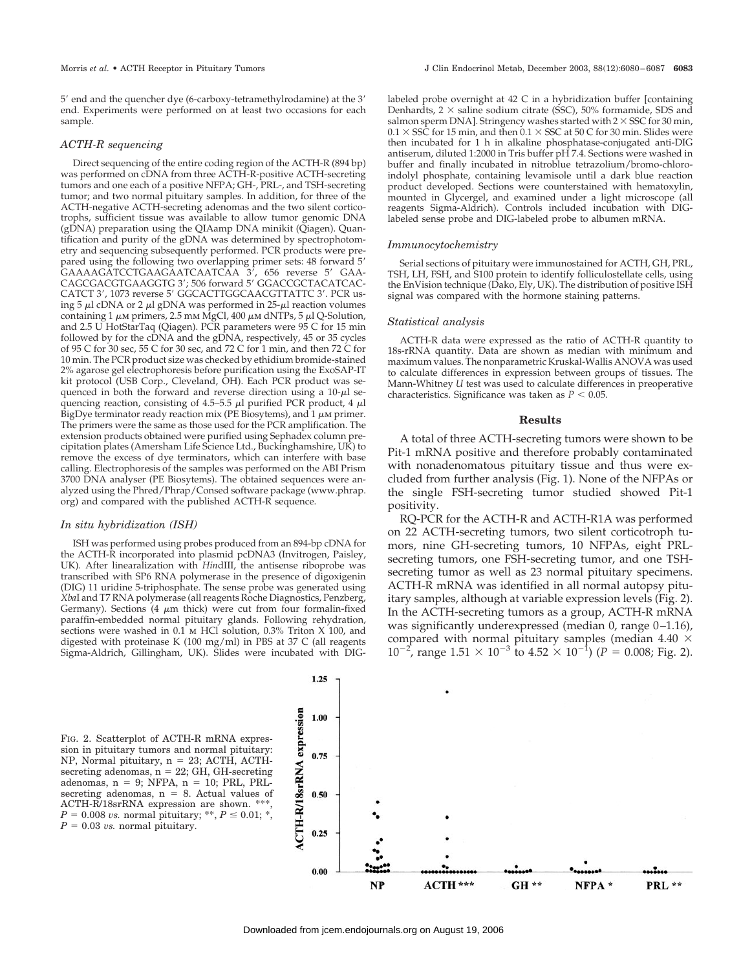5' end and the quencher dye (6-carboxy-tetramethylrodamine) at the 3' end. Experiments were performed on at least two occasions for each sample.

## *ACTH-R sequencing*

Direct sequencing of the entire coding region of the ACTH-R (894 bp) was performed on cDNA from three ACTH-R-positive ACTH-secreting tumors and one each of a positive NFPA; GH-, PRL-, and TSH-secreting tumor; and two normal pituitary samples. In addition, for three of the ACTH-negative ACTH-secreting adenomas and the two silent corticotrophs, sufficient tissue was available to allow tumor genomic DNA  $(gDNA)$  preparation using the QIAamp DNA minikit (Qiagen). Quantification and purity of the gDNA was determined by spectrophotometry and sequencing subsequently performed. PCR products were prepared using the following two overlapping primer sets: 48 forward 5' GAAAAGATCCTGAAGAATCAATCAA 3', 656 reverse 5' GAA-CAGCGACGTGAAGGTG 3'; 506 forward 5' GGACCGCTACATCAC-CATCT 3', 1073 reverse 5' GGCACTTGGCAACGTTATTC 3'. PCR using 5  $\mu$ l cDNA or 2  $\mu$ l gDNA was performed in 25- $\mu$ l reaction volumes containing 1  $\mu$ m primers, 2.5 mm MgCl, 400  $\mu$ m dNTPs, 5  $\mu$ l Q-Solution, and 2.5 U HotStarTaq (Qiagen). PCR parameters were 95 C for 15 min followed by for the cDNA and the gDNA, respectively, 45 or 35 cycles of 95 C for 30 sec, 55 C for 30 sec, and 72 C for 1 min, and then 72 C for 10 min. The PCR product size was checked by ethidium bromide-stained 2% agarose gel electrophoresis before purification using the ExoSAP-IT kit protocol (USB Corp., Cleveland, OH). Each PCR product was sequenced in both the forward and reverse direction using a  $10$ - $\mu$ l sequencing reaction, consisting of 4.5–5.5  $\mu$ l purified PCR product, 4  $\mu$ l BigDye terminator ready reaction mix (PE Biosytems), and  $1 \mu$ M primer. The primers were the same as those used for the PCR amplification. The extension products obtained were purified using Sephadex column precipitation plates (Amersham Life Science Ltd., Buckinghamshire, UK) to remove the excess of dye terminators, which can interfere with base calling. Electrophoresis of the samples was performed on the ABI Prism 3700 DNA analyser (PE Biosytems). The obtained sequences were analyzed using the Phred/Phrap/Consed software package (www.phrap. org) and compared with the published ACTH-R sequence.

#### *In situ hybridization (ISH)*

ISH was performed using probes produced from an 894-bp cDNA for the ACTH-R incorporated into plasmid pcDNA3 (Invitrogen, Paisley, UK). After linearalization with *Hin*dIII, the antisense riboprobe was transcribed with SP6 RNA polymerase in the presence of digoxigenin (DIG) 11 uridine 5-triphosphate. The sense probe was generated using *Xba*I and T7 RNA polymerase (all reagents Roche Diagnostics, Penzberg, Germany). Sections (4  $\mu$ m thick) were cut from four formalin-fixed paraffin-embedded normal pituitary glands. Following rehydration, sections were washed in  $0.1$  M HCl solution,  $0.3\%$  Triton X 100, and digested with proteinase K (100 mg/ml) in PBS at 37 C (all reagents Sigma-Aldrich, Gillingham, UK). Slides were incubated with DIG-

labeled probe overnight at 42 C in a hybridization buffer [containing Denhardts,  $2 \times$  saline sodium citrate (SSC), 50% formamide, SDS and salmon sperm DNA]. Stringency washes started with  $2 \times$  SSC for 30 min,  $0.1 \times$  SSC for 15 min, and then  $0.1 \times$  SSC at 50 C for 30 min. Slides were then incubated for 1 h in alkaline phosphatase-conjugated anti-DIG antiserum, diluted 1:2000 in Tris buffer pH 7.4. Sections were washed in buffer and finally incubated in nitroblue tetrazolium/bromo-chloroindolyl phosphate, containing levamisole until a dark blue reaction product developed. Sections were counterstained with hematoxylin, mounted in Glycergel, and examined under a light microscope (all reagents Sigma-Aldrich). Controls included incubation with DIGlabeled sense probe and DIG-labeled probe to albumen mRNA.

#### *Immunocytochemistry*

Serial sections of pituitary were immunostained for ACTH, GH, PRL, TSH, LH, FSH, and S100 protein to identify folliculostellate cells, using the EnVision technique (Dako, Ely, UK). The distribution of positive ISH signal was compared with the hormone staining patterns.

## *Statistical analysis*

ACTH-R data were expressed as the ratio of ACTH-R quantity to 18s-rRNA quantity. Data are shown as median with minimum and maximum values. The nonparametric Kruskal-Wallis ANOVA was used to calculate differences in expression between groups of tissues. The Mann-Whitney *U* test was used to calculate differences in preoperative characteristics. Significance was taken as  $P < 0.05$ .

#### **Results**

A total of three ACTH-secreting tumors were shown to be Pit-1 mRNA positive and therefore probably contaminated with nonadenomatous pituitary tissue and thus were excluded from further analysis (Fig. 1). None of the NFPAs or the single FSH-secreting tumor studied showed Pit-1 positivity.

RQ-PCR for the ACTH-R and ACTH-R1A was performed on 22 ACTH-secreting tumors, two silent corticotroph tumors, nine GH-secreting tumors, 10 NFPAs, eight PRLsecreting tumors, one FSH-secreting tumor, and one TSHsecreting tumor as well as 23 normal pituitary specimens. ACTH-R mRNA was identified in all normal autopsy pituitary samples, although at variable expression levels (Fig. 2). In the ACTH-secreting tumors as a group, ACTH-R mRNA was significantly underexpressed (median 0, range 0–1.16), compared with normal pituitary samples (median 4.40  $\times$  $10^{-2}$ , range  $1.51 \times 10^{-3}$  to  $4.52 \times 10^{-1}$ ) ( $P = 0.008$ ; Fig. 2).

FIG. 2. Scatterplot of ACTH-R mRNA expression in pituitary tumors and normal pituitary: NP, Normal pituitary,  $n = 23$ ; ACTH, ACTHsecreting adenomas,  $n = 22$ ; GH, GH-secreting adenomas,  $n = 9$ ; NFPA,  $n = 10$ ; PRL, PRLsecreting adenomas,  $n = 8$ . Actual values of ACTH-R/18srRNA expression are shown. \*\*\*,  $P = 0.008$  *vs.* normal pituitary; \*\*,  $P \le 0.01$ ; \*,  $P = 0.03$  *vs.* normal pituitary.

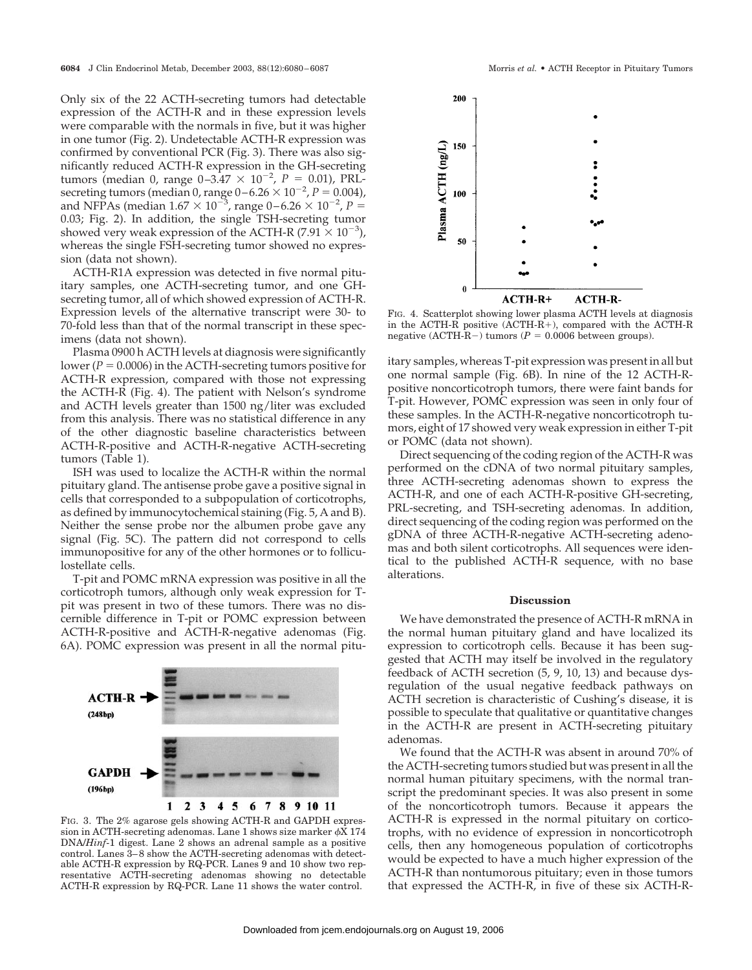Only six of the 22 ACTH-secreting tumors had detectable expression of the ACTH-R and in these expression levels were comparable with the normals in five, but it was higher in one tumor (Fig. 2). Undetectable ACTH-R expression was confirmed by conventional PCR (Fig. 3). There was also significantly reduced ACTH-R expression in the GH-secreting tumors (median 0, range  $0-3.47 \times 10^{-2}$ ,  $P = 0.01$ ), PRLsecreting tumors (median 0, range  $0 - 6.26 \times 10^{-2}$ ,  $P = 0.004$ ), and NFPAs (median  $1.67 \times 10^{-3}$ , range  $0-6.26 \times 10^{-2}$ ,  $P =$ 0.03; Fig. 2). In addition, the single TSH-secreting tumor showed very weak expression of the ACTH-R (7.91  $\times$  10<sup>-3</sup>), whereas the single FSH-secreting tumor showed no expression (data not shown).

ACTH-R1A expression was detected in five normal pituitary samples, one ACTH-secreting tumor, and one GHsecreting tumor, all of which showed expression of ACTH-R. Expression levels of the alternative transcript were 30- to 70-fold less than that of the normal transcript in these specimens (data not shown).

Plasma 0900 h ACTH levels at diagnosis were significantly lower ( $P = 0.0006$ ) in the ACTH-secreting tumors positive for ACTH-R expression, compared with those not expressing the ACTH-R (Fig. 4). The patient with Nelson's syndrome and ACTH levels greater than 1500 ng/liter was excluded from this analysis. There was no statistical difference in any of the other diagnostic baseline characteristics between ACTH-R-positive and ACTH-R-negative ACTH-secreting tumors (Table 1).

ISH was used to localize the ACTH-R within the normal pituitary gland. The antisense probe gave a positive signal in cells that corresponded to a subpopulation of corticotrophs, as defined by immunocytochemical staining (Fig. 5, A and B). Neither the sense probe nor the albumen probe gave any signal (Fig. 5C). The pattern did not correspond to cells immunopositive for any of the other hormones or to folliculostellate cells.

T-pit and POMC mRNA expression was positive in all the corticotroph tumors, although only weak expression for Tpit was present in two of these tumors. There was no discernible difference in T-pit or POMC expression between ACTH-R-positive and ACTH-R-negative adenomas (Fig. 6A). POMC expression was present in all the normal pitu-



FIG. 3. The 2% agarose gels showing ACTH-R and GAPDH expression in ACTH-secreting adenomas. Lane 1 shows size marker  $\phi$ X 174 DNA/*Hinf*-1 digest. Lane 2 shows an adrenal sample as a positive control. Lanes 3–8 show the ACTH-secreting adenomas with detectable ACTH-R expression by RQ-PCR. Lanes 9 and 10 show two representative ACTH-secreting adenomas showing no detectable ACTH-R expression by RQ-PCR. Lane 11 shows the water control.



FIG. 4. Scatterplot showing lower plasma ACTH levels at diagnosis in the ACTH- $\vec{R}$  positive (ACTH-R+), compared with the ACTH-R negative (ACTH-R-) tumors ( $P = 0.0006$  between groups).

itary samples, whereas T-pit expression was present in all but one normal sample (Fig. 6B). In nine of the 12 ACTH-Rpositive noncorticotroph tumors, there were faint bands for T-pit. However, POMC expression was seen in only four of these samples. In the ACTH-R-negative noncorticotroph tumors, eight of 17 showed very weak expression in either T-pit or POMC (data not shown).

Direct sequencing of the coding region of the ACTH-R was performed on the cDNA of two normal pituitary samples, three ACTH-secreting adenomas shown to express the ACTH-R, and one of each ACTH-R-positive GH-secreting, PRL-secreting, and TSH-secreting adenomas. In addition, direct sequencing of the coding region was performed on the gDNA of three ACTH-R-negative ACTH-secreting adenomas and both silent corticotrophs. All sequences were identical to the published ACTH-R sequence, with no base alterations.

## **Discussion**

We have demonstrated the presence of ACTH-R mRNA in the normal human pituitary gland and have localized its expression to corticotroph cells. Because it has been suggested that ACTH may itself be involved in the regulatory feedback of ACTH secretion (5, 9, 10, 13) and because dysregulation of the usual negative feedback pathways on ACTH secretion is characteristic of Cushing's disease, it is possible to speculate that qualitative or quantitative changes in the ACTH-R are present in ACTH-secreting pituitary adenomas.

We found that the ACTH-R was absent in around 70% of the ACTH-secreting tumors studied but was present in all the normal human pituitary specimens, with the normal transcript the predominant species. It was also present in some of the noncorticotroph tumors. Because it appears the ACTH-R is expressed in the normal pituitary on corticotrophs, with no evidence of expression in noncorticotroph cells, then any homogeneous population of corticotrophs would be expected to have a much higher expression of the ACTH-R than nontumorous pituitary; even in those tumors that expressed the ACTH-R, in five of these six ACTH-R-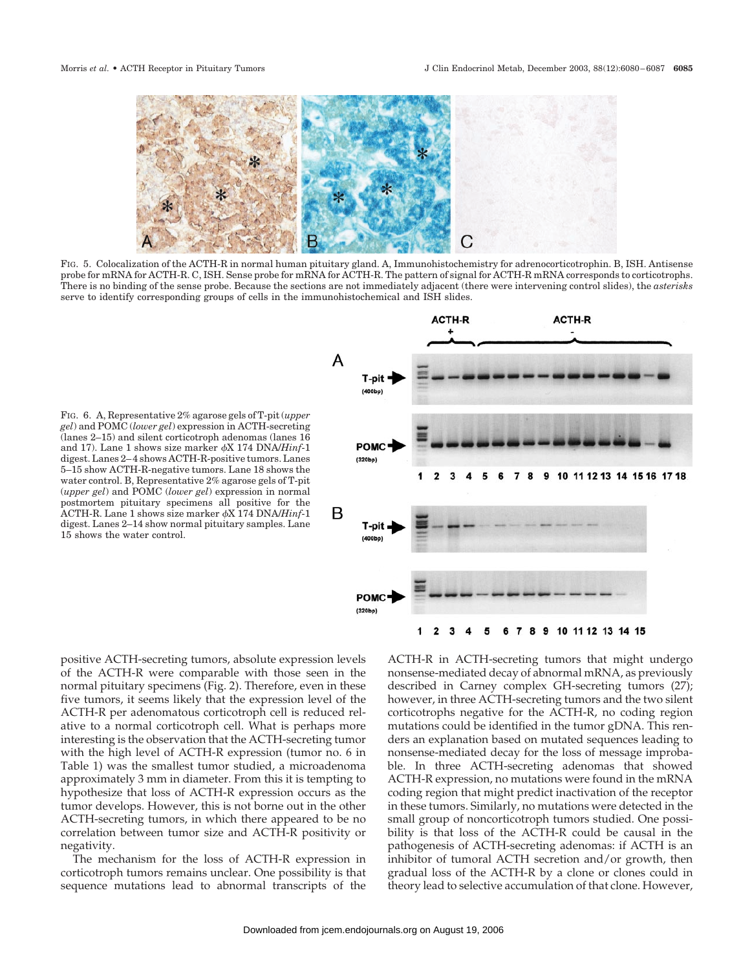

FIG. 5. Colocalization of the ACTH-R in normal human pituitary gland. A, Immunohistochemistry for adrenocorticotrophin. B, ISH. Antisense probe for mRNA for ACTH-R. C, ISH. Sense probe for mRNA for ACTH-R. The pattern of signal for ACTH-R mRNA corresponds to corticotrophs. There is no binding of the sense probe. Because the sections are not immediately adjacent (there were intervening control slides), the *asterisks* serve to identify corresponding groups of cells in the immunohistochemical and ISH slides.

FIG. 6. A, Representative 2% agarose gels of T-pit (*upper gel*) and POMC (*lower gel*) expression in ACTH-secreting (lanes 2–15) and silent corticotroph adenomas (lanes 16 and 17). Lane 1 shows size marker  $\phi$ X 174 DNA/*Hinf*-1 digest. Lanes 2–4 shows ACTH-R-positive tumors. Lanes 5–15 show ACTH-R-negative tumors. Lane 18 shows the water control. B, Representative 2% agarose gels of T-pit (*upper gel*) and POMC (*lower gel*) expression in normal postmortem pituitary specimens all positive for the ACTH-R. Lane 1 shows size marker  $\phi$ X 174 DNA/*Hinf*-1 digest. Lanes 2–14 show normal pituitary samples. Lane 15 shows the water control.



positive ACTH-secreting tumors, absolute expression levels of the ACTH-R were comparable with those seen in the normal pituitary specimens (Fig. 2). Therefore, even in these five tumors, it seems likely that the expression level of the ACTH-R per adenomatous corticotroph cell is reduced relative to a normal corticotroph cell. What is perhaps more interesting is the observation that the ACTH-secreting tumor with the high level of ACTH-R expression (tumor no. 6 in Table 1) was the smallest tumor studied, a microadenoma approximately 3 mm in diameter. From this it is tempting to hypothesize that loss of ACTH-R expression occurs as the tumor develops. However, this is not borne out in the other ACTH-secreting tumors, in which there appeared to be no correlation between tumor size and ACTH-R positivity or negativity.

The mechanism for the loss of ACTH-R expression in corticotroph tumors remains unclear. One possibility is that sequence mutations lead to abnormal transcripts of the

ACTH-R in ACTH-secreting tumors that might undergo nonsense-mediated decay of abnormal mRNA, as previously described in Carney complex GH-secreting tumors (27); however, in three ACTH-secreting tumors and the two silent corticotrophs negative for the ACTH-R, no coding region mutations could be identified in the tumor gDNA. This renders an explanation based on mutated sequences leading to nonsense-mediated decay for the loss of message improbable. In three ACTH-secreting adenomas that showed ACTH-R expression, no mutations were found in the mRNA coding region that might predict inactivation of the receptor in these tumors. Similarly, no mutations were detected in the small group of noncorticotroph tumors studied. One possibility is that loss of the ACTH-R could be causal in the pathogenesis of ACTH-secreting adenomas: if ACTH is an inhibitor of tumoral ACTH secretion and/or growth, then gradual loss of the ACTH-R by a clone or clones could in theory lead to selective accumulation of that clone. However,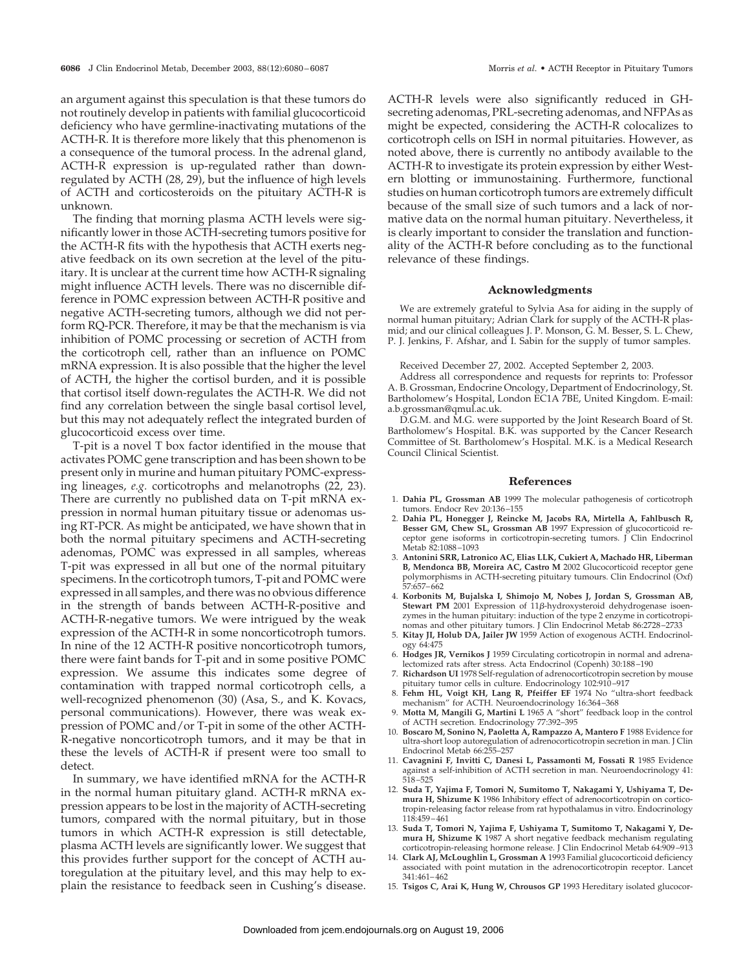an argument against this speculation is that these tumors do not routinely develop in patients with familial glucocorticoid deficiency who have germline-inactivating mutations of the ACTH-R. It is therefore more likely that this phenomenon is a consequence of the tumoral process. In the adrenal gland, ACTH-R expression is up-regulated rather than downregulated by ACTH (28, 29), but the influence of high levels of ACTH and corticosteroids on the pituitary ACTH-R is unknown.

The finding that morning plasma ACTH levels were significantly lower in those ACTH-secreting tumors positive for the ACTH-R fits with the hypothesis that ACTH exerts negative feedback on its own secretion at the level of the pituitary. It is unclear at the current time how ACTH-R signaling might influence ACTH levels. There was no discernible difference in POMC expression between ACTH-R positive and negative ACTH-secreting tumors, although we did not perform RQ-PCR. Therefore, it may be that the mechanism is via inhibition of POMC processing or secretion of ACTH from the corticotroph cell, rather than an influence on POMC mRNA expression. It is also possible that the higher the level of ACTH, the higher the cortisol burden, and it is possible that cortisol itself down-regulates the ACTH-R. We did not find any correlation between the single basal cortisol level, but this may not adequately reflect the integrated burden of glucocorticoid excess over time.

T-pit is a novel T box factor identified in the mouse that activates POMC gene transcription and has been shown to be present only in murine and human pituitary POMC-expressing lineages, *e.g.* corticotrophs and melanotrophs (22, 23). There are currently no published data on T-pit mRNA expression in normal human pituitary tissue or adenomas using RT-PCR. As might be anticipated, we have shown that in both the normal pituitary specimens and ACTH-secreting adenomas, POMC was expressed in all samples, whereas T-pit was expressed in all but one of the normal pituitary specimens. In the corticotroph tumors, T-pit and POMC were expressed in all samples, and there was no obvious difference in the strength of bands between ACTH-R-positive and ACTH-R-negative tumors. We were intrigued by the weak expression of the ACTH-R in some noncorticotroph tumors. In nine of the 12 ACTH-R positive noncorticotroph tumors, there were faint bands for T-pit and in some positive POMC expression. We assume this indicates some degree of contamination with trapped normal corticotroph cells, a well-recognized phenomenon (30) (Asa, S., and K. Kovacs, personal communications). However, there was weak expression of POMC and/or T-pit in some of the other ACTH-R-negative noncorticotroph tumors, and it may be that in these the levels of ACTH-R if present were too small to detect.

In summary, we have identified mRNA for the ACTH-R in the normal human pituitary gland. ACTH-R mRNA expression appears to be lost in the majority of ACTH-secreting tumors, compared with the normal pituitary, but in those tumors in which ACTH-R expression is still detectable, plasma ACTH levels are significantly lower. We suggest that this provides further support for the concept of ACTH autoregulation at the pituitary level, and this may help to explain the resistance to feedback seen in Cushing's disease.

ACTH-R levels were also significantly reduced in GHsecreting adenomas, PRL-secreting adenomas, and NFPAs as might be expected, considering the ACTH-R colocalizes to corticotroph cells on ISH in normal pituitaries. However, as noted above, there is currently no antibody available to the ACTH-R to investigate its protein expression by either Western blotting or immunostaining. Furthermore, functional studies on human corticotroph tumors are extremely difficult because of the small size of such tumors and a lack of normative data on the normal human pituitary. Nevertheless, it is clearly important to consider the translation and functionality of the ACTH-R before concluding as to the functional relevance of these findings.

## **Acknowledgments**

We are extremely grateful to Sylvia Asa for aiding in the supply of normal human pituitary; Adrian Clark for supply of the ACTH-R plasmid; and our clinical colleagues J. P. Monson, G. M. Besser, S. L. Chew, P. J. Jenkins, F. Afshar, and I. Sabin for the supply of tumor samples.

Received December 27, 2002. Accepted September 2, 2003.

Address all correspondence and requests for reprints to: Professor A. B. Grossman, Endocrine Oncology, Department of Endocrinology, St. Bartholomew's Hospital, London EC1A 7BE, United Kingdom. E-mail: a.b.grossman@qmul.ac.uk.

D.G.M. and M.G. were supported by the Joint Research Board of St. Bartholomew's Hospital. B.K. was supported by the Cancer Research Committee of St. Bartholomew's Hospital. M.K. is a Medical Research Council Clinical Scientist.

#### **References**

- 1. **Dahia PL, Grossman AB** 1999 The molecular pathogenesis of corticotroph tumors. Endocr Rev 20:136–155
- 2. **Dahia PL, Honegger J, Reincke M, Jacobs RA, Mirtella A, Fahlbusch R, Besser GM, Chew SL, Grossman AB** 1997 Expression of glucocorticoid receptor gene isoforms in corticotropin-secreting tumors. J Clin Endocrinol Metab 82:1088–1093
- 3. **Antonini SRR, Latronico AC, Elias LLK, Cukiert A, Machado HR, Liberman B, Mendonca BB, Moreira AC, Castro M** 2002 Glucocorticoid receptor gene polymorphisms in ACTH-secreting pituitary tumours. Clin Endocrinol (Oxf) 57:657–662
- 4. **Korbonits M, Bujalska I, Shimojo M, Nobes J, Jordan S, Grossman AB, Stewart PM** 2001 Expression of 11*β*-hydroxysteroid dehydrogenase isoenzymes in the human pituitary: induction of the type 2 enzyme in corticotropinomas and other pituitary tumors. J Clin Endocrinol Metab 86:2728–2733
- 5. **Kitay JI, Holub DA, Jailer JW** 1959 Action of exogenous ACTH. Endocrinology 64:475
- 6. **Hodges JR, Vernikos J** 1959 Circulating corticotropin in normal and adrenalectomized rats after stress. Acta Endocrinol (Copenh) 30:188–190
- 7. **Richardson UI** 1978 Self-regulation of adrenocorticotropin secretion by mouse pituitary tumor cells in culture. Endocrinology 102:910–917
- 8. **Fehm HL, Voigt KH, Lang R, Pfeiffer EF** 1974 No "ultra-short feedback mechanism" for ACTH. Neuroendocrinology 16:364–368
- 9. **Motta M, Mangili G, Martini L** 1965 A "short" feedback loop in the control of ACTH secretion. Endocrinology 77:392–395
- 10. **Boscaro M, Sonino N, Paoletta A, Rampazzo A, Mantero F** 1988 Evidence for ultra-short loop autoregulation of adrenocorticotropin secretion in man. J Clin Endocrinol Metab 66:255–257
- 11. **Cavagnini F, Invitti C, Danesi L, Passamonti M, Fossati R** 1985 Evidence against a self-inhibition of ACTH secretion in man. Neuroendocrinology 41: 518–525
- 12. **Suda T, Yajima F, Tomori N, Sumitomo T, Nakagami Y, Ushiyama T, Demura H, Shizume K** 1986 Inhibitory effect of adrenocorticotropin on corticotropin-releasing factor release from rat hypothalamus in vitro. Endocrinology 118:459–461
- 13. **Suda T, Tomori N, Yajima F, Ushiyama T, Sumitomo T, Nakagami Y, Demura H, Shizume K** 1987 A short negative feedback mechanism regulating corticotropin-releasing hormone release. J Clin Endocrinol Metab 64:909–913
- 14. **Clark AJ, McLoughlin L, Grossman A** 1993 Familial glucocorticoid deficiency associated with point mutation in the adrenocorticotropin receptor. Lancet 341:461–462
- 15. **Tsigos C, Arai K, Hung W, Chrousos GP** 1993 Hereditary isolated glucocor-